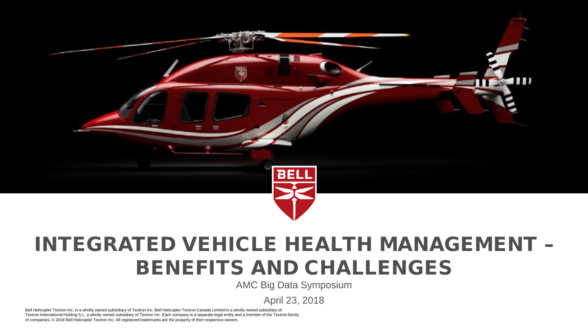

# INTEGRATED VEHICLE HEALTH MANAGEMENT – BENEFITS AND CHALLENGES

AMC Big Data Symposium

April 23, 2018

Bell Helicopter Textron Inc. is a wholly owned subsidiary of Textron Inc. Bell Helicopter Textron Canada Limited is a wholly owned subsidiary of Textron International Holding S.L, a wholly owned subsidiary of Textron Inc. Each company is a separate legal entity and a member of the Textron family of companies. © 2018 Bell Helicopter Textron Inc. All registered trademarks are the property of their respective owners.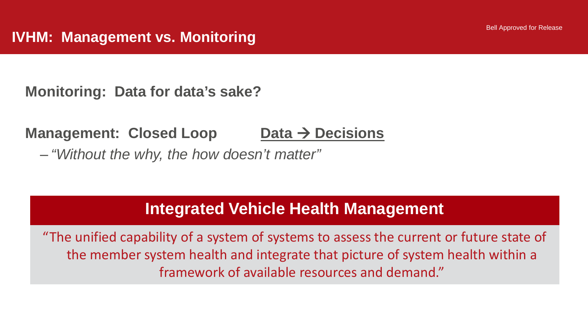**Monitoring: Data for data's sake?**

## **Management: Closed Loop Data → Decisions**

‒ *"Without the why, the how doesn't matter"*

# **Integrated Vehicle Health Management**

"The unified capability of a system of systems to assess the current or future state of the member system health and integrate that picture of system health within a framework of available resources and demand."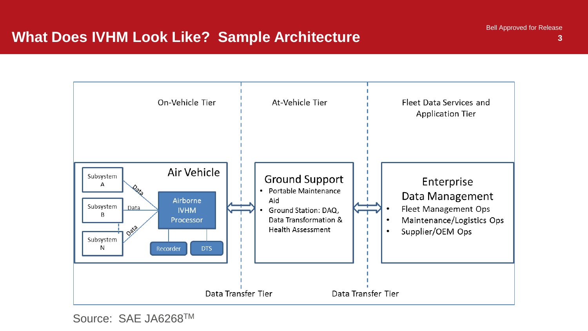**3**

# **What Does IVHM Look Like? Sample Architecture** Bell Approved for Release 3



Source: SAE JA6268TM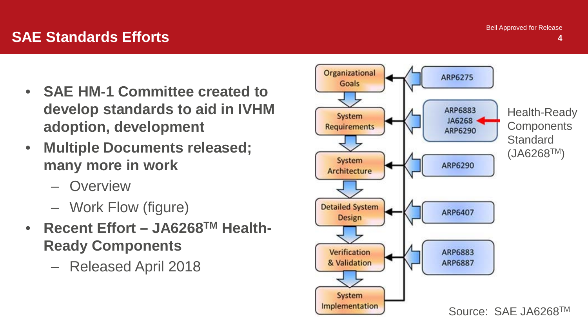Bell Approved for Release

**4**

### **SAE Standards Efforts**

- **SAE HM-1 Committee created to develop standards to aid in IVHM adoption, development**
- **Multiple Documents released; many more in work**
	- ‒ Overview
	- ‒ Work Flow (figure)
- **Recent Effort – JA6268TM Health-Ready Components**
	- ‒ Released April 2018

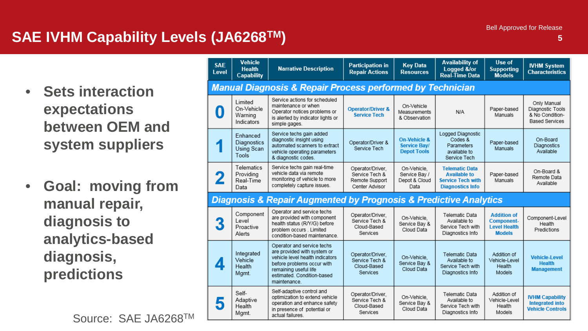# **SAE IVHM Capability Levels (JA6268TM) <sup>5</sup>**

- **Sets interaction expectations between OEM and system suppliers**
- **Goal: moving from manual repair, diagnosis to analytics-based diagnosis, predictions**

Source: SAE JA6268TM

| <b>SAE</b><br>Level                                                             | <b>Vehicle</b><br><b>Health</b><br><b>Capability</b>  | <b>Narrative Description</b>                                                                                                                                                                      | <b>Participation in</b><br><b>Repair Actions</b>                       | <b>Key Data</b><br><b>Resources</b>                                  | <b>Availability of</b><br>Logged &/or<br>Real-Time Data                                             | Use of<br><b>Supporting</b><br><b>Models</b>                                    | <b>IVHM System</b><br><b>Characteristics</b>                                |
|---------------------------------------------------------------------------------|-------------------------------------------------------|---------------------------------------------------------------------------------------------------------------------------------------------------------------------------------------------------|------------------------------------------------------------------------|----------------------------------------------------------------------|-----------------------------------------------------------------------------------------------------|---------------------------------------------------------------------------------|-----------------------------------------------------------------------------|
| <b>Manual Diagnosis &amp; Repair Process performed by Technician</b>            |                                                       |                                                                                                                                                                                                   |                                                                        |                                                                      |                                                                                                     |                                                                                 |                                                                             |
| 0                                                                               | <b>Limited</b><br>On-Vehicle<br>Warning<br>Indicators | Service actions for scheduled<br>maintenance or when<br>Operator notices problems or<br>is alerted by indicator lights or<br>simple gages.                                                        | <b>Operator/Driver &amp;</b><br><b>Service Tech</b>                    | On-Vehicle<br>Measurements<br>& Observation                          | N/A                                                                                                 | Paper-based<br>Manuals                                                          | Only Manual<br>Diagnostic Tools<br>& No Condition-<br><b>Based Services</b> |
|                                                                                 | Enhanced<br><b>Diagnostics</b><br>Using Scan<br>Tools | Service techs gain added<br>diagnostic insight using<br>automated scanners to extract<br>vehicle operating parameters<br>& diagnostic codes.                                                      | Operator/Driver &<br>Service Tech                                      | <b>On-Vehicle &amp;</b><br><b>Service Bay/</b><br><b>Depot Tools</b> | Logged Diagnostic<br>Codes &<br>Parameters<br>available to<br>Service Tech                          | Paper-based<br>Manuals                                                          | On-Board<br>Diagnostics<br>Available                                        |
|                                                                                 | Telematics<br>Providina<br>Real-Time<br>Data          | Service techs gain real-time<br>vehicle data via remote<br>monitoring of vehicle to more<br>completely capture issues.                                                                            | Operator/Driver.<br>Service Tech &<br>Remote Support<br>Center Advisor | On-Vehicle.<br>Service Bav /<br>Depot & Cloud<br>Data                | <b>Telematic Data</b><br><b>Available to</b><br><b>Service Tech with</b><br><b>Diagnostics Info</b> | Paper-based<br>Manuals                                                          | On-Board &<br>Remote Data<br>Available                                      |
| <b>Diagnosis &amp; Repair Augmented by Prognosis &amp; Predictive Analytics</b> |                                                       |                                                                                                                                                                                                   |                                                                        |                                                                      |                                                                                                     |                                                                                 |                                                                             |
|                                                                                 | Component<br>I evel<br>Proactive<br>Alerts            | Operator and service techs<br>are provided with component<br>health status (R/Y/G) before<br>problem occurs . Limited<br>condition-based maintenance.                                             | Operator/Driver.<br>Service Tech &<br>Cloud-Based<br>Services          | On-Vehicle.<br>Service Bay &<br>Cloud Data                           | Telematic Data<br>Available to<br>Service Tech with<br>Diagnostics Info                             | <b>Addition of</b><br><b>Component-</b><br><b>Level Health</b><br><b>Models</b> | Component-Level<br>Health<br>Predictions                                    |
|                                                                                 | Integrated<br>Vehicle<br>Health<br>Mgmt.              | Operator and service techs<br>are provided with system or<br>vehicle level health indicators<br>before problems occur with<br>remaining useful life<br>estimated. Condition-based<br>maintenance. | Operator/Driver.<br>Service Tech &<br>Cloud-Based<br><b>Services</b>   | On-Vehicle,<br>Service Bay &<br>Cloud Data                           | Telematic Data<br>Available to<br>Service Tech with<br>Diagnostics Info                             | Addition of<br>Vehicle-Level<br>Health<br>Models                                | <b>Vehicle-Level</b><br><b>Health</b><br><b>Management</b>                  |
|                                                                                 | Self-<br>Adaptive<br>Health<br>Mgmt.                  | Self-adaptive control and<br>optimization to extend vehicle<br>operation and enhance safety<br>in presence of potential or<br>actual failures.                                                    | Operator/Driver.<br>Service Tech &<br>Cloud-Based<br>Services          | On-Vehicle.<br>Service Bav &<br>Cloud Data                           | Telematic Data<br>Available to<br>Service Tech with<br>Diagnostics Info                             | Addition of<br>Vehicle-Level<br>Health<br>Models                                | <b>IVHM Capability</b><br><b>Integrated into</b><br><b>Vehicle Controls</b> |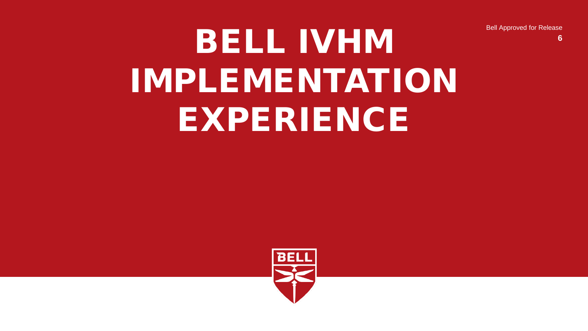Bell Approved for Release

**6**

# BELL IVHM IMPLEMENTATION EXPERIENCE

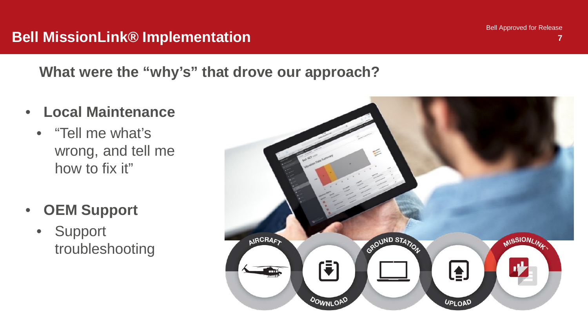Bell Approved for Release

### **Bell MissionLink® Implementation <sup>7</sup>**

**What were the "why's" that drove our approach?**

- **Local Maintenance**
	- "Tell me what's wrong, and tell me how to fix it"
- **OEM Support**
	- Support troubleshooting

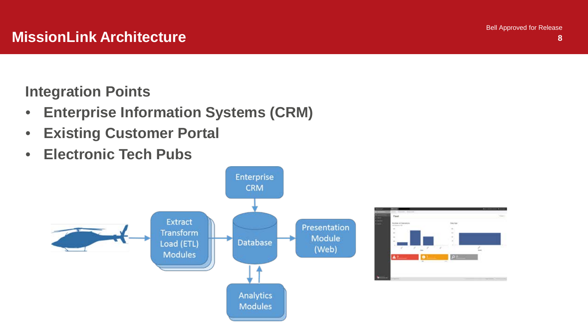**Integration Points** 

- **Enterprise Information Systems (CRM)**
- **Existing Customer Portal**
- **Electronic Tech Pubs**

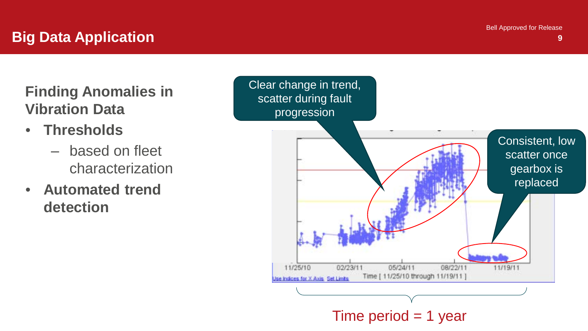**9**

# **Big Data Application**

**Finding Anomalies in Vibration Data**

- **Thresholds** 
	- ‒ based on fleet characterization
- **Automated trend detection**